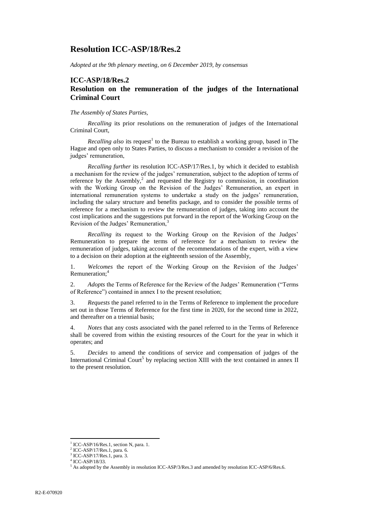## **Resolution ICC-ASP/18/Res.2**

*Adopted at the 9th plenary meeting, on 6 December 2019, by consensus*

# **ICC-ASP/18/Res.2**

### **Resolution on the remuneration of the judges of the International Criminal Court**

#### *The Assembly of States Parties,*

*Recalling* its prior resolutions on the remuneration of judges of the International Criminal Court,

Recalling also its request<sup>1</sup> to the Bureau to establish a working group, based in The Hague and open only to States Parties, to discuss a mechanism to consider a revision of the judges' remuneration,

*Recalling further* its resolution ICC-ASP/17/Res.1, by which it decided to establish a mechanism for the review of the judges' remuneration, subject to the adoption of terms of reference by the Assembly, $\lambda$  and requested the Registry to commission, in coordination with the Working Group on the Revision of the Judges' Remuneration, an expert in international remuneration systems to undertake a study on the judges' remuneration, including the salary structure and benefits package, and to consider the possible terms of reference for a mechanism to review the remuneration of judges, taking into account the cost implications and the suggestions put forward in the report of the Working Group on the Revision of the Judges' Remuneration,<sup>3</sup>

*Recalling* its request to the Working Group on the Revision of the Judges' Remuneration to prepare the terms of reference for a mechanism to review the remuneration of judges, taking account of the recommendations of the expert, with a view to a decision on their adoption at the eighteenth session of the Assembly,

1. *Welcomes* the report of the Working Group on the Revision of the Judges' Remuneration:<sup>4</sup>

2. *Adopts* the Terms of Reference for the Review of the Judges' Remuneration ("Terms of Reference") contained in annex I to the present resolution;

3. *Requests* the panel referred to in the Terms of Reference to implement the procedure set out in those Terms of Reference for the first time in 2020, for the second time in 2022, and thereafter on a triennial basis;

4. *Notes* that any costs associated with the panel referred to in the Terms of Reference shall be covered from within the existing resources of the Court for the year in which it operates; and

5. *Decides* to amend the conditions of service and compensation of judges of the International Criminal Court<sup>5</sup> by replacing section XIII with the text contained in annex II to the present resolution.

l

<sup>&</sup>lt;sup>1</sup> ICC-ASP/16/Res.1, section N, para. 1.

<sup>2</sup> ICC-ASP/17/Res.1, para. 6.

<sup>3</sup> ICC-ASP/17/Res.1, para. 3.

<sup>4</sup> ICC-ASP/18/33.

<sup>5</sup> As adopted by the Assembly in resolution ICC-ASP/3/Res.3 and amended by resolution ICC-ASP/6/Res.6.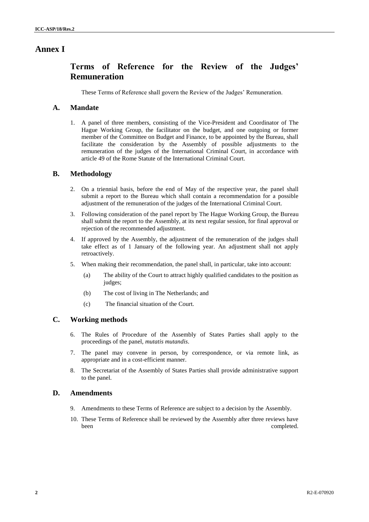## **Annex I**

## **Terms of Reference for the Review of the Judges' Remuneration**

These Terms of Reference shall govern the Review of the Judges' Remuneration.

#### **A. Mandate**

1. A panel of three members, consisting of the Vice-President and Coordinator of The Hague Working Group, the facilitator on the budget, and one outgoing or former member of the Committee on Budget and Finance, to be appointed by the Bureau, shall facilitate the consideration by the Assembly of possible adjustments to the remuneration of the judges of the International Criminal Court, in accordance with article 49 of the Rome Statute of the International Criminal Court.

#### **B. Methodology**

- 2. On a triennial basis, before the end of May of the respective year, the panel shall submit a report to the Bureau which shall contain a recommendation for a possible adjustment of the remuneration of the judges of the International Criminal Court.
- 3. Following consideration of the panel report by The Hague Working Group, the Bureau shall submit the report to the Assembly, at its next regular session, for final approval or rejection of the recommended adjustment.
- 4. If approved by the Assembly, the adjustment of the remuneration of the judges shall take effect as of 1 January of the following year. An adjustment shall not apply retroactively.
- 5. When making their recommendation, the panel shall, in particular, take into account:
	- (a) The ability of the Court to attract highly qualified candidates to the position as judges;
	- (b) The cost of living in The Netherlands; and
	- (c) The financial situation of the Court.

### **C. Working methods**

- 6. The Rules of Procedure of the Assembly of States Parties shall apply to the proceedings of the panel, *mutatis mutandis*.
- 7. The panel may convene in person, by correspondence, or via remote link, as appropriate and in a cost-efficient manner.
- 8. The Secretariat of the Assembly of States Parties shall provide administrative support to the panel.

#### **D. Amendments**

- 9. Amendments to these Terms of Reference are subject to a decision by the Assembly.
- 10. These Terms of Reference shall be reviewed by the Assembly after three reviews have been completed.